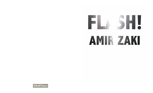## AMIR ZAKI

**UCRIARTS block**